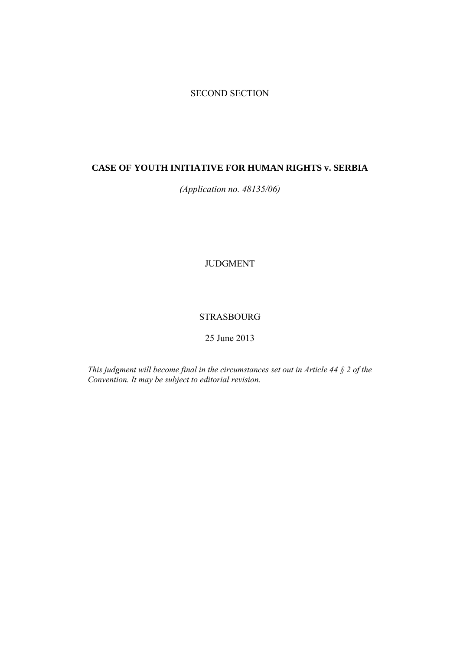# SECOND SECTION

# **CASE OF YOUTH INITIATIVE FOR HUMAN RIGHTS v. SERBIA**

*(Application no. 48135/06)* 

JUDGMENT

## STRASBOURG

25 June 2013

*This judgment will become final in the circumstances set out in Article 44 § 2 of the Convention. It may be subject to editorial revision.*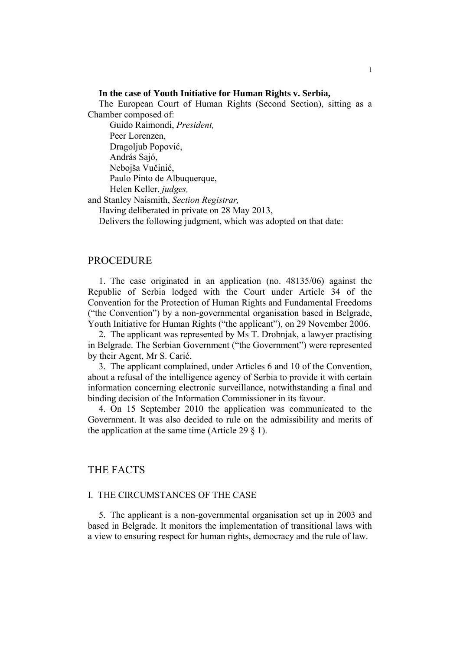### **In the case of Youth Initiative for Human Rights v. Serbia,**

The European Court of Human Rights (Second Section), sitting as a Chamber composed of:

 Guido Raimondi, *President,*  Peer Lorenzen, Dragoljub Popović, András Sajó, Nebojša Vučinić, Paulo Pinto de Albuquerque, Helen Keller, *judges,*

and Stanley Naismith, *Section Registrar,*

Having deliberated in private on 28 May 2013,

Delivers the following judgment, which was adopted on that date:

## PROCEDURE

1. The case originated in an application (no. 48135/06) against the Republic of Serbia lodged with the Court under Article 34 of the Convention for the Protection of Human Rights and Fundamental Freedoms ("the Convention") by a non-governmental organisation based in Belgrade, Youth Initiative for Human Rights ("the applicant"), on 29 November 2006.

2. The applicant was represented by Ms T. Drobnjak, a lawyer practising in Belgrade. The Serbian Government ("the Government") were represented by their Agent, Mr S. Carić.

3. The applicant complained, under Articles 6 and 10 of the Convention, about a refusal of the intelligence agency of Serbia to provide it with certain information concerning electronic surveillance, notwithstanding a final and binding decision of the Information Commissioner in its favour.

4. On 15 September 2010 the application was communicated to the Government. It was also decided to rule on the admissibility and merits of the application at the same time (Article 29  $\S$  1).

## THE FACTS

### I. THE CIRCUMSTANCES OF THE CASE

5. The applicant is a non-governmental organisation set up in 2003 and based in Belgrade. It monitors the implementation of transitional laws with a view to ensuring respect for human rights, democracy and the rule of law.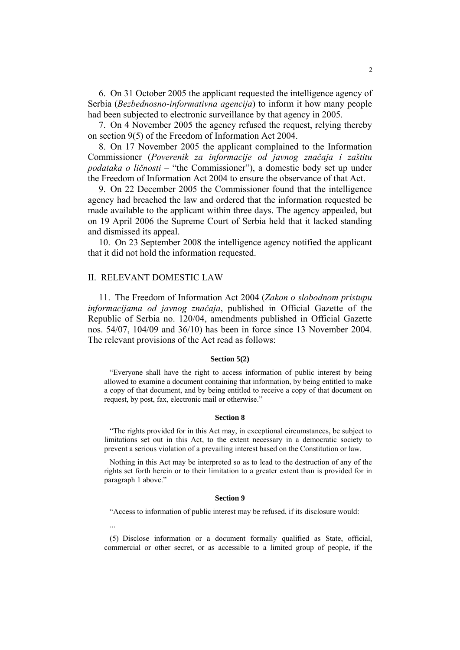6. On 31 October 2005 the applicant requested the intelligence agency of Serbia (*Bezbednosno-informativna agencija*) to inform it how many people had been subjected to electronic surveillance by that agency in 2005.

7. On 4 November 2005 the agency refused the request, relying thereby on section 9(5) of the Freedom of Information Act 2004.

8. On 17 November 2005 the applicant complained to the Information Commissioner (*Poverenik za informacije od javnog značaja i zaštitu podataka о ličnosti* – "the Commissioner"), a domestic body set up under the Freedom of Information Act 2004 to ensure the observance of that Act.

9. On 22 December 2005 the Commissioner found that the intelligence agency had breached the law and ordered that the information requested be made available to the applicant within three days. The agency appealed, but on 19 April 2006 the Supreme Court of Serbia held that it lacked standing and dismissed its appeal.

10. On 23 September 2008 the intelligence agency notified the applicant that it did not hold the information requested.

### II. RELEVANT DOMESTIC LAW

...

11. The Freedom of Information Act 2004 (*Zakon o slobodnom pristupu informacijama od javnog značaja*, published in Official Gazette of the Republic of Serbia no. 120/04, amendments published in Official Gazette nos. 54/07, 104/09 and 36/10) has been in force since 13 November 2004. The relevant provisions of the Act read as follows:

#### **Section 5(2)**

"Everyone shall have the right to access information of public interest by being allowed to examine a document containing that information, by being entitled to make a copy of that document, and by being entitled to receive a copy of that document on request, by post, fax, electronic mail or otherwise."

#### **Section 8**

"The rights provided for in this Act may, in exceptional circumstances, be subject to limitations set out in this Act, to the extent necessary in a democratic society to prevent a serious violation of a prevailing interest based on the Constitution or law.

Nothing in this Act may be interpreted so as to lead to the destruction of any of the rights set forth herein or to their limitation to a greater extent than is provided for in paragraph 1 above."

#### **Section 9**

"Access to information of public interest may be refused, if its disclosure would:

(5) Disclose information or a document formally qualified as State, official, commercial or other secret, or as accessible to a limited group of people, if the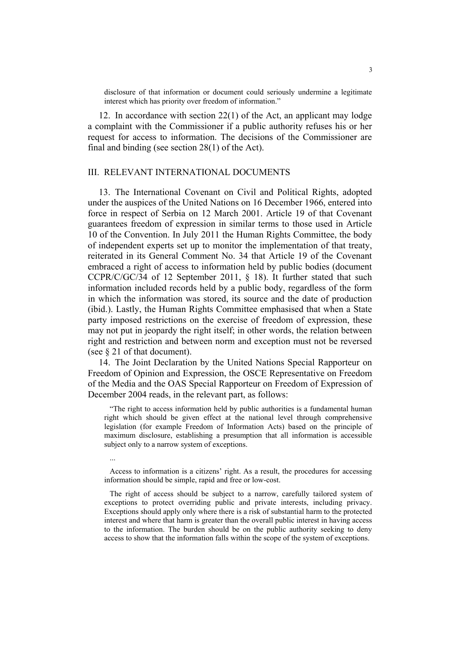disclosure of that information or document could seriously undermine a legitimate interest which has priority over freedom of information."

12. In accordance with section 22(1) of the Act, an applicant may lodge a complaint with the Commissioner if a public authority refuses his or her request for access to information. The decisions of the Commissioner are final and binding (see section 28(1) of the Act).

### III. RELEVANT INTERNATIONAL DOCUMENTS

13. The International Covenant on Civil and Political Rights, adopted under the auspices of the United Nations on 16 December 1966, entered into force in respect of Serbia on 12 March 2001. Article 19 of that Covenant guarantees freedom of expression in similar terms to those used in Article 10 of the Convention. In July 2011 the Human Rights Committee, the body of independent experts set up to monitor the implementation of that treaty, reiterated in its General Comment No. 34 that Article 19 of the Covenant embraced a right of access to information held by public bodies (document CCPR/C/GC/34 of 12 September 2011, § 18). It further stated that such information included records held by a public body, regardless of the form in which the information was stored, its source and the date of production (ibid.). Lastly, the Human Rights Committee emphasised that when a State party imposed restrictions on the exercise of freedom of expression, these may not put in jeopardy the right itself; in other words, the relation between right and restriction and between norm and exception must not be reversed (see § 21 of that document).

14. The Joint Declaration by the United Nations Special Rapporteur on Freedom of Opinion and Expression, the OSCE Representative on Freedom of the Media and the OAS Special Rapporteur on Freedom of Expression of December 2004 reads, in the relevant part, as follows:

"The right to access information held by public authorities is a fundamental human right which should be given effect at the national level through comprehensive legislation (for example Freedom of Information Acts) based on the principle of maximum disclosure, establishing a presumption that all information is accessible subject only to a narrow system of exceptions.

...

Access to information is a citizens' right. As a result, the procedures for accessing information should be simple, rapid and free or low-cost.

The right of access should be subject to a narrow, carefully tailored system of exceptions to protect overriding public and private interests, including privacy. Exceptions should apply only where there is a risk of substantial harm to the protected interest and where that harm is greater than the overall public interest in having access to the information. The burden should be on the public authority seeking to deny access to show that the information falls within the scope of the system of exceptions.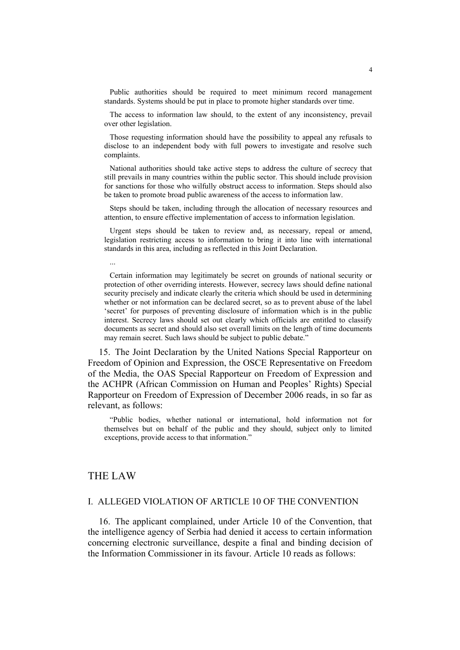Public authorities should be required to meet minimum record management standards. Systems should be put in place to promote higher standards over time.

The access to information law should, to the extent of any inconsistency, prevail over other legislation.

Those requesting information should have the possibility to appeal any refusals to disclose to an independent body with full powers to investigate and resolve such complaints.

National authorities should take active steps to address the culture of secrecy that still prevails in many countries within the public sector. This should include provision for sanctions for those who wilfully obstruct access to information. Steps should also be taken to promote broad public awareness of the access to information law.

Steps should be taken, including through the allocation of necessary resources and attention, to ensure effective implementation of access to information legislation.

Urgent steps should be taken to review and, as necessary, repeal or amend, legislation restricting access to information to bring it into line with international standards in this area, including as reflected in this Joint Declaration.

Certain information may legitimately be secret on grounds of national security or protection of other overriding interests. However, secrecy laws should define national security precisely and indicate clearly the criteria which should be used in determining whether or not information can be declared secret, so as to prevent abuse of the label 'secret' for purposes of preventing disclosure of information which is in the public interest. Secrecy laws should set out clearly which officials are entitled to classify documents as secret and should also set overall limits on the length of time documents may remain secret. Such laws should be subject to public debate."

15. The Joint Declaration by the United Nations Special Rapporteur on Freedom of Opinion and Expression, the OSCE Representative on Freedom of the Media, the OAS Special Rapporteur on Freedom of Expression and the ACHPR (African Commission on Human and Peoples' Rights) Special Rapporteur on Freedom of Expression of December 2006 reads, in so far as relevant, as follows:

"Public bodies, whether national or international, hold information not for themselves but on behalf of the public and they should, subject only to limited exceptions, provide access to that information."

## THE LAW

...

#### I. ALLEGED VIOLATION OF ARTICLE 10 OF THE CONVENTION

16. The applicant complained, under Article 10 of the Convention, that the intelligence agency of Serbia had denied it access to certain information concerning electronic surveillance, despite a final and binding decision of the Information Commissioner in its favour. Article 10 reads as follows: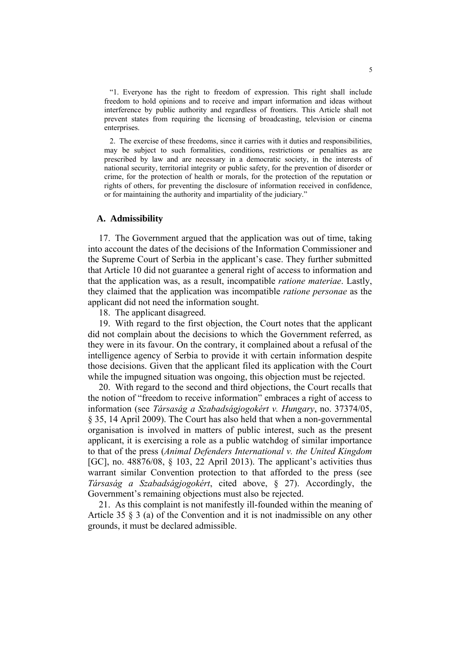"1. Everyone has the right to freedom of expression. This right shall include freedom to hold opinions and to receive and impart information and ideas without interference by public authority and regardless of frontiers. This Article shall not prevent states from requiring the licensing of broadcasting, television or cinema enterprises.

2. The exercise of these freedoms, since it carries with it duties and responsibilities, may be subject to such formalities, conditions, restrictions or penalties as are prescribed by law and are necessary in a democratic society, in the interests of national security, territorial integrity or public safety, for the prevention of disorder or crime, for the protection of health or morals, for the protection of the reputation or rights of others, for preventing the disclosure of information received in confidence, or for maintaining the authority and impartiality of the judiciary."

#### **A. Admissibility**

17. The Government argued that the application was out of time, taking into account the dates of the decisions of the Information Commissioner and the Supreme Court of Serbia in the applicant's case. They further submitted that Article 10 did not guarantee a general right of access to information and that the application was, as a result, incompatible *ratione materiae*. Lastly, they claimed that the application was incompatible *ratione personae* as the applicant did not need the information sought.

18. The applicant disagreed.

19. With regard to the first objection, the Court notes that the applicant did not complain about the decisions to which the Government referred, as they were in its favour. On the contrary, it complained about a refusal of the intelligence agency of Serbia to provide it with certain information despite those decisions. Given that the applicant filed its application with the Court while the impugned situation was ongoing, this objection must be rejected.

20. With regard to the second and third objections, the Court recalls that the notion of "freedom to receive information" embraces a right of access to information (see *Társaság a Szabadságjogokért v. Hungary*, no. 37374/05, § 35, 14 April 2009). The Court has also held that when a non-governmental organisation is involved in matters of public interest, such as the present applicant, it is exercising a role as a public watchdog of similar importance to that of the press (*Animal Defenders International v. the United Kingdom*  [GC], no. 48876/08, § 103, 22 April 2013). The applicant's activities thus warrant similar Convention protection to that afforded to the press (see *Társaság a Szabadságjogokért*, cited above, § 27). Accordingly, the Government's remaining objections must also be rejected.

21. As this complaint is not manifestly ill-founded within the meaning of Article 35 § 3 (a) of the Convention and it is not inadmissible on any other grounds, it must be declared admissible.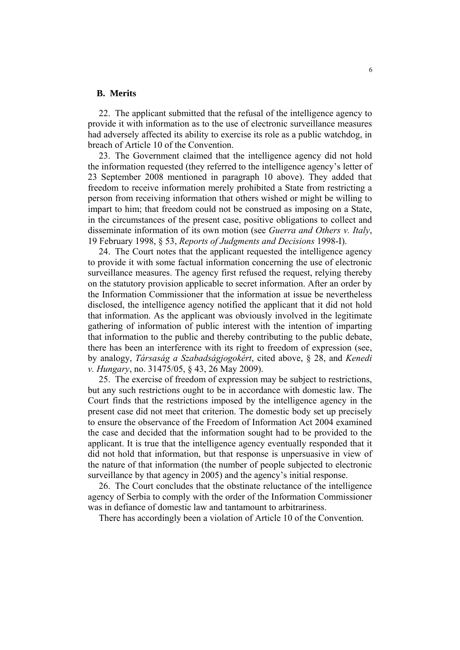#### **B. Merits**

22. The applicant submitted that the refusal of the intelligence agency to provide it with information as to the use of electronic surveillance measures had adversely affected its ability to exercise its role as a public watchdog, in breach of Article 10 of the Convention.

23. The Government claimed that the intelligence agency did not hold the information requested (they referred to the intelligence agency's letter of 23 September 2008 mentioned in paragraph 10 above). They added that freedom to receive information merely prohibited a State from restricting a person from receiving information that others wished or might be willing to impart to him; that freedom could not be construed as imposing on a State, in the circumstances of the present case, positive obligations to collect and disseminate information of its own motion (see *Guerra and Others v. Italy*, 19 February 1998, § 53, *Reports of Judgments and Decisions* 1998-I).

24. The Court notes that the applicant requested the intelligence agency to provide it with some factual information concerning the use of electronic surveillance measures. The agency first refused the request, relying thereby on the statutory provision applicable to secret information. After an order by the Information Commissioner that the information at issue be nevertheless disclosed, the intelligence agency notified the applicant that it did not hold that information. As the applicant was obviously involved in the legitimate gathering of information of public interest with the intention of imparting that information to the public and thereby contributing to the public debate, there has been an interference with its right to freedom of expression (see, by analogy, *Társaság a Szabadságjogokért*, cited above, § 28, and *Kenedi v. Hungary*, no. 31475/05, § 43, 26 May 2009).

25. The exercise of freedom of expression may be subject to restrictions, but any such restrictions ought to be in accordance with domestic law. The Court finds that the restrictions imposed by the intelligence agency in the present case did not meet that criterion. The domestic body set up precisely to ensure the observance of the Freedom of Information Act 2004 examined the case and decided that the information sought had to be provided to the applicant. It is true that the intelligence agency eventually responded that it did not hold that information, but that response is unpersuasive in view of the nature of that information (the number of people subjected to electronic surveillance by that agency in 2005) and the agency's initial response.

26. The Court concludes that the obstinate reluctance of the intelligence agency of Serbia to comply with the order of the Information Commissioner was in defiance of domestic law and tantamount to arbitrariness.

There has accordingly been a violation of Article 10 of the Convention.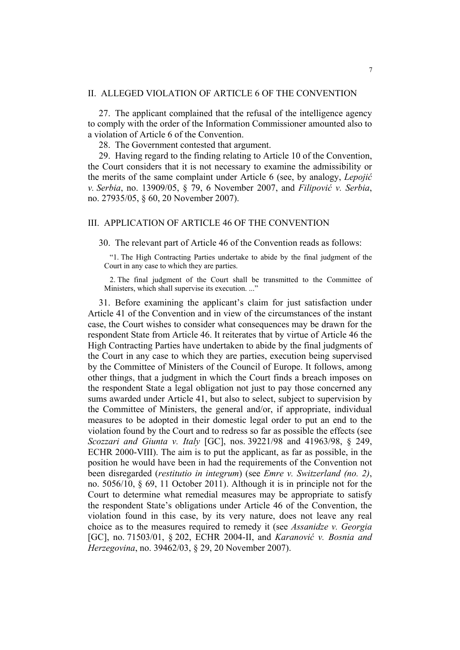### II. ALLEGED VIOLATION OF ARTICLE 6 OF THE CONVENTION

27. The applicant complained that the refusal of the intelligence agency to comply with the order of the Information Commissioner amounted also to a violation of Article 6 of the Convention.

28. The Government contested that argument.

29. Having regard to the finding relating to Article 10 of the Convention, the Court considers that it is not necessary to examine the admissibility or the merits of the same complaint under Article 6 (see, by analogy, *Lepojić v. Serbia*, no. 13909/05, § 79, 6 November 2007, and *Filipović v. Serbia*, no. 27935/05, § 60, 20 November 2007).

### III. APPLICATION OF ARTICLE 46 OF THE CONVENTION

30. The relevant part of Article 46 of the Convention reads as follows:

"1. The High Contracting Parties undertake to abide by the final judgment of the Court in any case to which they are parties.

2. The final judgment of the Court shall be transmitted to the Committee of Ministers, which shall supervise its execution. ..."

31. Before examining the applicant's claim for just satisfaction under Article 41 of the Convention and in view of the circumstances of the instant case, the Court wishes to consider what consequences may be drawn for the respondent State from Article 46. It reiterates that by virtue of Article 46 the High Contracting Parties have undertaken to abide by the final judgments of the Court in any case to which they are parties, execution being supervised by the Committee of Ministers of the Council of Europe. It follows, among other things, that a judgment in which the Court finds a breach imposes on the respondent State a legal obligation not just to pay those concerned any sums awarded under Article 41, but also to select, subject to supervision by the Committee of Ministers, the general and/or, if appropriate, individual measures to be adopted in their domestic legal order to put an end to the violation found by the Court and to redress so far as possible the effects (see *Scozzari and Giunta v. Italy* [GC], nos. 39221/98 and 41963/98, § 249, ECHR 2000-VIII). The aim is to put the applicant, as far as possible, in the position he would have been in had the requirements of the Convention not been disregarded (*restitutio in integrum*) (see *Emre v. Switzerland (no. 2)*, no. 5056/10, § 69, 11 October 2011). Although it is in principle not for the Court to determine what remedial measures may be appropriate to satisfy the respondent State's obligations under Article 46 of the Convention, the violation found in this case, by its very nature, does not leave any real choice as to the measures required to remedy it (see *Assanidze v. Georgia* [GC], no. 71503/01, § 202, ECHR 2004-II, and *Karanović v. Bosnia and Herzegovina*, no. 39462/03, § 29, 20 November 2007).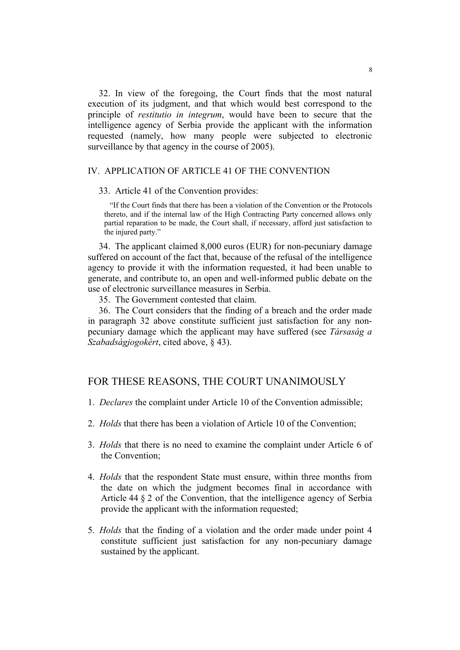32. In view of the foregoing, the Court finds that the most natural execution of its judgment, and that which would best correspond to the principle of *restitutio in integrum*, would have been to secure that the intelligence agency of Serbia provide the applicant with the information requested (namely, how many people were subjected to electronic surveillance by that agency in the course of 2005).

### IV. APPLICATION OF ARTICLE 41 OF THE CONVENTION

33. Article 41 of the Convention provides:

"If the Court finds that there has been a violation of the Convention or the Protocols thereto, and if the internal law of the High Contracting Party concerned allows only partial reparation to be made, the Court shall, if necessary, afford just satisfaction to the injured party."

34. The applicant claimed 8,000 euros (EUR) for non-pecuniary damage suffered on account of the fact that, because of the refusal of the intelligence agency to provide it with the information requested, it had been unable to generate, and contribute to, an open and well-informed public debate on the use of electronic surveillance measures in Serbia.

35. The Government contested that claim.

36. The Court considers that the finding of a breach and the order made in paragraph 32 above constitute sufficient just satisfaction for any nonpecuniary damage which the applicant may have suffered (see *Társaság a Szabadságjogokért*, cited above, § 43).

# FOR THESE REASONS, THE COURT UNANIMOUSLY

- 1. *Declares* the complaint under Article 10 of the Convention admissible;
- 2. *Holds* that there has been a violation of Article 10 of the Convention;
- 3. *Holds* that there is no need to examine the complaint under Article 6 of the Convention;
- 4. *Holds* that the respondent State must ensure, within three months from the date on which the judgment becomes final in accordance with Article 44 § 2 of the Convention, that the intelligence agency of Serbia provide the applicant with the information requested;
- 5. *Holds* that the finding of a violation and the order made under point 4 constitute sufficient just satisfaction for any non-pecuniary damage sustained by the applicant.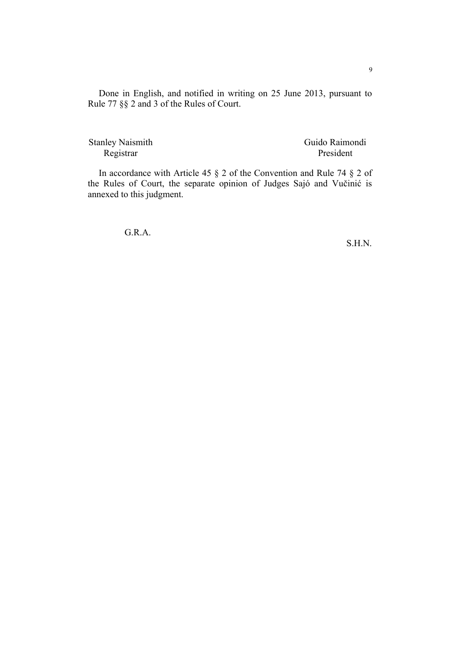Done in English, and notified in writing on 25 June 2013, pursuant to Rule 77 §§ 2 and 3 of the Rules of Court.

 Stanley Naismith Guido Raimondi Registrar President

In accordance with Article 45 § 2 of the Convention and Rule 74 § 2 of the Rules of Court, the separate opinion of Judges Sajó and Vučinić is annexed to this judgment.

G.R.A.

S.H.N.